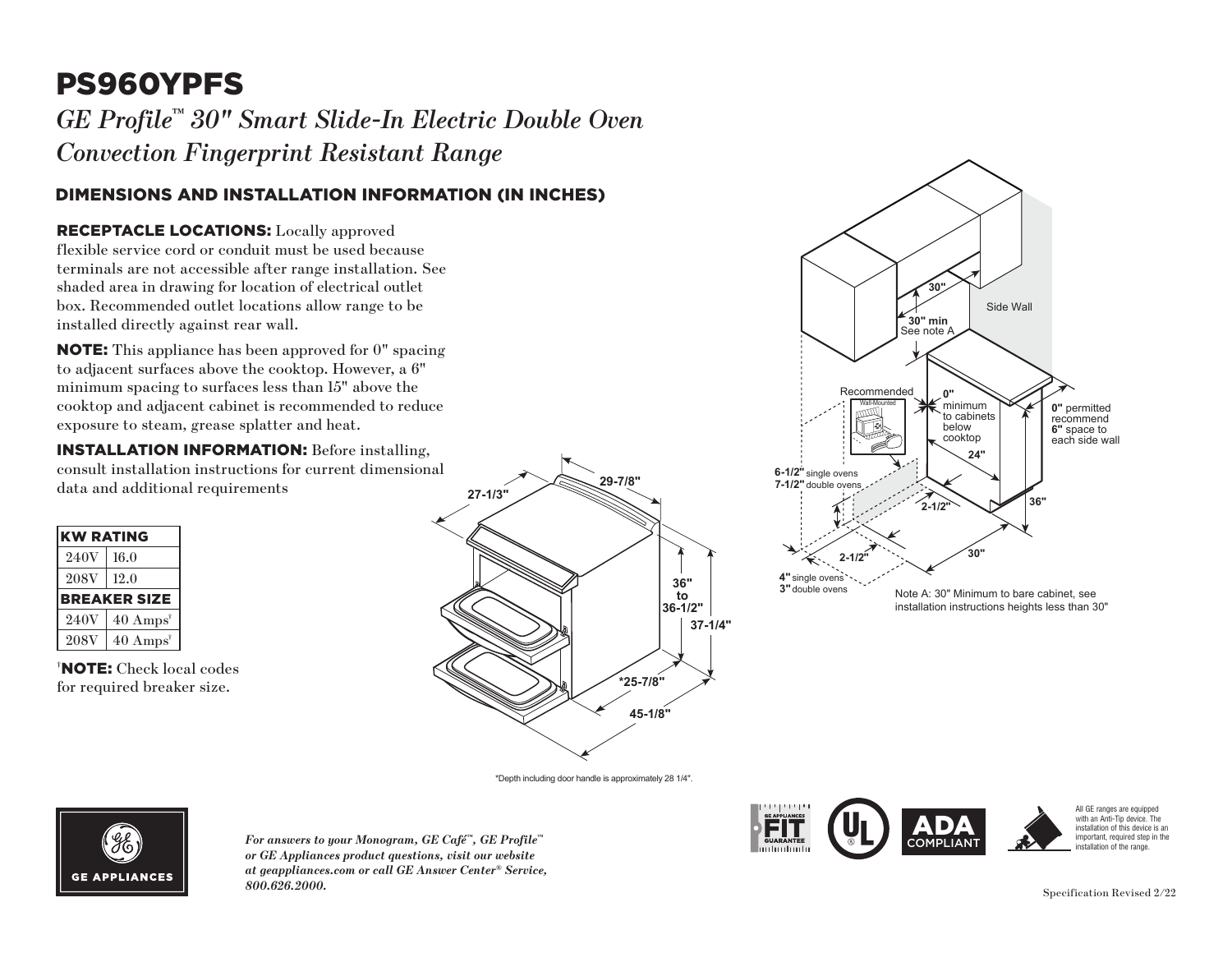# PS960YPFS

 $GE\ Project^{\tiny\rm m}$  30" Smart Slide-In Electric Double Oven *Convection Fingerprint Resistant Range*

# DIMENSIONS AND INSTALLATION INFORMATION (IN INCHES)

### RECEPTACLE LOCATIONS: Locally approved

flexible service cord or conduit must be used because **30"** terminals are not accessible after range installation. See shaded area in drawing for location of electrical outlet box. Recommended outlet locations allow range to be installed directly against rear wall. **RECEPTACLE LOCATIONS:** Locally approved<br>flexible service cord or conduit must be used because<br>terminals are not accessible after range installation. See<br>shaded area in drawing for location of electrical outlet<br>box. Recomm

to adjacent surfaces above the cooktop. However, a  $6"$ minimum spacing to surfaces less than  $15"$  above the minimum spacing to surfaces less than 15 above the cooktop and adjacent cabinet is recommended to reduce exposure to steam, grease splatter and heat. ove th

**INSTALLATION INFORMATION:** Before installing, consult installation instructions for current dimensional **36" 2-1/2"** data and additional requirements

| <b>KW RATING</b>    |                             |
|---------------------|-----------------------------|
| 240V                | 16.0                        |
| <b>208V</b>         | 12.0                        |
| <b>BREAKER SIZE</b> |                             |
| 240V                | $40 \text{ Amps}^{\dagger}$ |
| <b>208V</b>         | $40 \text{ Amps}^{\dagger}$ |

† NOTE: Check local codes for required breaker size.





\*Depth including door handle is approximately 28 1/4".



 $\overline{F}$ or answers to your Monogram, GE Café™, GE Profile™ *or GE Appliances product questions, visit our website at geappliances.com or call GE Answer Center® Service, 800.626.2000.* Specification Revised 2/22